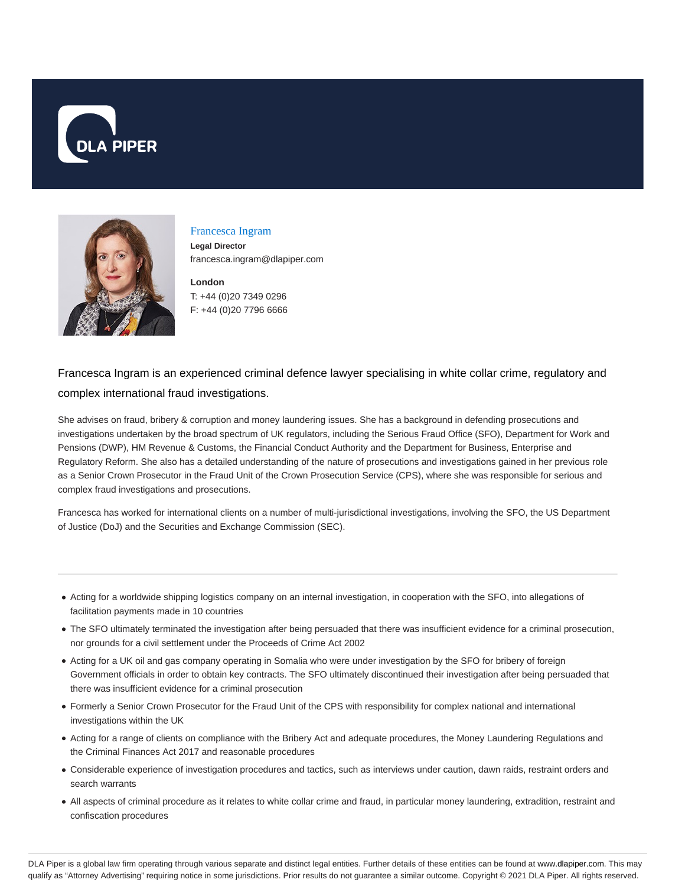



#### Francesca Ingram

**Legal Director** francesca.ingram@dlapiper.com

**London** T: +44 (0)20 7349 0296 F: +44 (0)20 7796 6666

# Francesca Ingram is an experienced criminal defence lawyer specialising in white collar crime, regulatory and complex international fraud investigations.

She advises on fraud, bribery & corruption and money laundering issues. She has a background in defending prosecutions and investigations undertaken by the broad spectrum of UK regulators, including the Serious Fraud Office (SFO), Department for Work and Pensions (DWP), HM Revenue & Customs, the Financial Conduct Authority and the Department for Business, Enterprise and Regulatory Reform. She also has a detailed understanding of the nature of prosecutions and investigations gained in her previous role as a Senior Crown Prosecutor in the Fraud Unit of the Crown Prosecution Service (CPS), where she was responsible for serious and complex fraud investigations and prosecutions.

Francesca has worked for international clients on a number of multi-jurisdictional investigations, involving the SFO, the US Department of Justice (DoJ) and the Securities and Exchange Commission (SEC).

- Acting for a worldwide shipping logistics company on an internal investigation, in cooperation with the SFO, into allegations of facilitation payments made in 10 countries
- The SFO ultimately terminated the investigation after being persuaded that there was insufficient evidence for a criminal prosecution, nor grounds for a civil settlement under the Proceeds of Crime Act 2002
- Acting for a UK oil and gas company operating in Somalia who were under investigation by the SFO for bribery of foreign Government officials in order to obtain key contracts. The SFO ultimately discontinued their investigation after being persuaded that there was insufficient evidence for a criminal prosecution
- Formerly a Senior Crown Prosecutor for the Fraud Unit of the CPS with responsibility for complex national and international investigations within the UK
- Acting for a range of clients on compliance with the Bribery Act and adequate procedures, the Money Laundering Regulations and the Criminal Finances Act 2017 and reasonable procedures
- Considerable experience of investigation procedures and tactics, such as interviews under caution, dawn raids, restraint orders and search warrants
- All aspects of criminal procedure as it relates to white collar crime and fraud, in particular money laundering, extradition, restraint and confiscation procedures